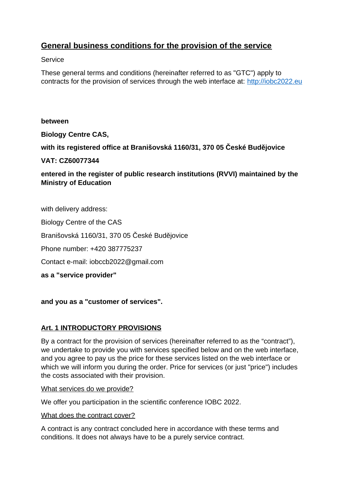# **General business conditions for the provision of the service**

**Service** 

These general terms and conditions (hereinafter referred to as "GTC") apply to contracts for the provision of services through the web interface at: [http://iobc2022.eu](http://iobc2022.eu/)

### **between**

**Biology Centre CAS,**

**with its registered office at Branišovská 1160/31, 370 05 České Budějovice**

**VAT: CZ60077344**

**entered in the register of public research institutions (RVVI) maintained by the Ministry of Education**

with delivery address:

Biology Centre of the CAS

Branišovská 1160/31, 370 05 České Budějovice

Phone number: +420 387775237

Contact e-mail: iobccb2022@gmail.com

**as a "service provider"**

**and you as a "customer of services".**

# **Art. 1 INTRODUCTORY PROVISIONS**

By a contract for the provision of services (hereinafter referred to as the "contract"), we undertake to provide you with services specified below and on the web interface, and you agree to pay us the price for these services listed on the web interface or which we will inform you during the order. Price for services (or just "price") includes the costs associated with their provision.

What services do we provide?

We offer you participation in the scientific conference IOBC 2022.

What does the contract cover?

A contract is any contract concluded here in accordance with these terms and conditions. It does not always have to be a purely service contract.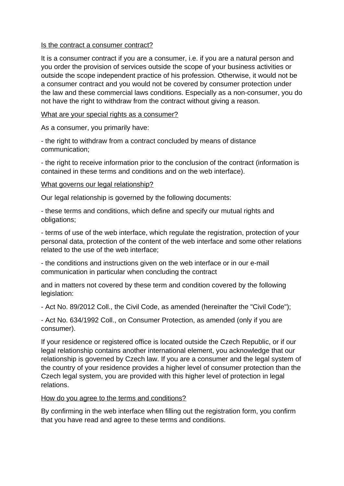#### Is the contract a consumer contract?

It is a consumer contract if you are a consumer, i.e. if you are a natural person and you order the provision of services outside the scope of your business activities or outside the scope independent practice of his profession. Otherwise, it would not be a consumer contract and you would not be covered by consumer protection under the law and these commercial laws conditions. Especially as a non-consumer, you do not have the right to withdraw from the contract without giving a reason.

#### What are your special rights as a consumer?

As a consumer, you primarily have:

- the right to withdraw from a contract concluded by means of distance communication;

- the right to receive information prior to the conclusion of the contract (information is contained in these terms and conditions and on the web interface).

#### What governs our legal relationship?

Our legal relationship is governed by the following documents:

- these terms and conditions, which define and specify our mutual rights and obligations;

- terms of use of the web interface, which regulate the registration, protection of your personal data, protection of the content of the web interface and some other relations related to the use of the web interface;

- the conditions and instructions given on the web interface or in our e-mail communication in particular when concluding the contract

and in matters not covered by these term and condition covered by the following legislation:

- Act No. 89/2012 Coll., the Civil Code, as amended (hereinafter the "Civil Code");

- Act No. 634/1992 Coll., on Consumer Protection, as amended (only if you are consumer).

If your residence or registered office is located outside the Czech Republic, or if our legal relationship contains another international element, you acknowledge that our relationship is governed by Czech law. If you are a consumer and the legal system of the country of your residence provides a higher level of consumer protection than the Czech legal system, you are provided with this higher level of protection in legal relations.

### How do you agree to the terms and conditions?

By confirming in the web interface when filling out the registration form, you confirm that you have read and agree to these terms and conditions.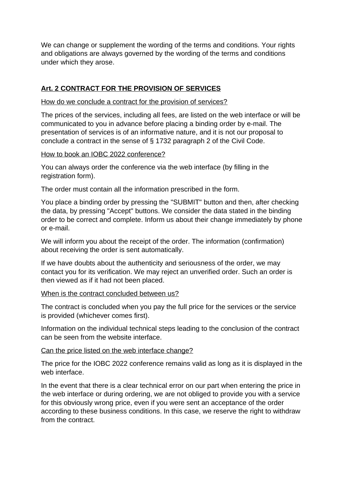We can change or supplement the wording of the terms and conditions. Your rights and obligations are always governed by the wording of the terms and conditions under which they arose.

# **Art. 2 CONTRACT FOR THE PROVISION OF SERVICES**

### How do we conclude a contract for the provision of services?

The prices of the services, including all fees, are listed on the web interface or will be communicated to you in advance before placing a binding order by e-mail. The presentation of services is of an informative nature, and it is not our proposal to conclude a contract in the sense of § 1732 paragraph 2 of the Civil Code.

How to book an IOBC 2022 conference?

You can always order the conference via the web interface (by filling in the registration form).

The order must contain all the information prescribed in the form.

You place a binding order by pressing the "SUBMIT" button and then, after checking the data, by pressing "Accept" buttons. We consider the data stated in the binding order to be correct and complete. Inform us about their change immediately by phone or e-mail.

We will inform you about the receipt of the order. The information (confirmation) about receiving the order is sent automatically.

If we have doubts about the authenticity and seriousness of the order, we may contact you for its verification. We may reject an unverified order. Such an order is then viewed as if it had not been placed.

### When is the contract concluded between us?

The contract is concluded when you pay the full price for the services or the service is provided (whichever comes first).

Information on the individual technical steps leading to the conclusion of the contract can be seen from the website interface.

# Can the price listed on the web interface change?

The price for the IOBC 2022 conference remains valid as long as it is displayed in the web interface.

In the event that there is a clear technical error on our part when entering the price in the web interface or during ordering, we are not obliged to provide you with a service for this obviously wrong price, even if you were sent an acceptance of the order according to these business conditions. In this case, we reserve the right to withdraw from the contract.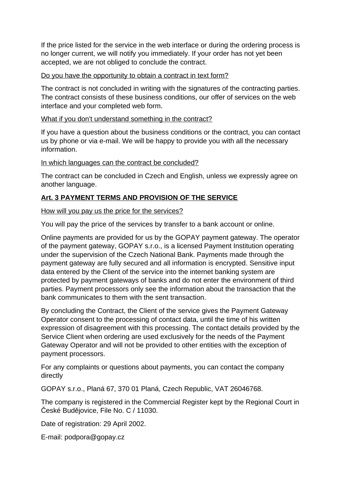If the price listed for the service in the web interface or during the ordering process is no longer current, we will notify you immediately. If your order has not yet been accepted, we are not obliged to conclude the contract.

### Do you have the opportunity to obtain a contract in text form?

The contract is not concluded in writing with the signatures of the contracting parties. The contract consists of these business conditions, our offer of services on the web interface and your completed web form.

### What if you don't understand something in the contract?

If you have a question about the business conditions or the contract, you can contact us by phone or via e-mail. We will be happy to provide you with all the necessary information.

### In which languages can the contract be concluded?

The contract can be concluded in Czech and English, unless we expressly agree on another language.

# **Art. 3 PAYMENT TERMS AND PROVISION OF THE SERVICE**

### How will you pay us the price for the services?

You will pay the price of the services by transfer to a bank account or online.

Online payments are provided for us by the GOPAY payment gateway. The operator of the payment gateway, GOPAY s.r.o., is a licensed Payment Institution operating under the supervision of the Czech National Bank. Payments made through the payment gateway are fully secured and all information is encrypted. Sensitive input data entered by the Client of the service into the internet banking system are protected by payment gateways of banks and do not enter the environment of third parties. Payment processors only see the information about the transaction that the bank communicates to them with the sent transaction.

By concluding the Contract, the Client of the service gives the Payment Gateway Operator consent to the processing of contact data, until the time of his written expression of disagreement with this processing. The contact details provided by the Service Client when ordering are used exclusively for the needs of the Payment Gateway Operator and will not be provided to other entities with the exception of payment processors.

For any complaints or questions about payments, you can contact the company directly

GOPAY s.r.o., Planá 67, 370 01 Planá, Czech Republic, VAT 26046768.

The company is registered in the Commercial Register kept by the Regional Court in České Budějovice, File No. C / 11030.

Date of registration: 29 April 2002.

E-mail: podpora@gopay.cz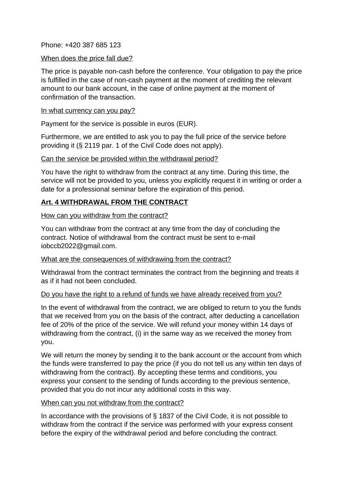Phone: +420 387 685 123

### When does the price fall due?

The price is payable non-cash before the conference. Your obligation to pay the price is fulfilled in the case of non-cash payment at the moment of crediting the relevant amount to our bank account, in the case of online payment at the moment of confirmation of the transaction.

#### In what currency can you pay?

Payment for the service is possible in euros (EUR).

Furthermore, we are entitled to ask you to pay the full price of the service before providing it (§ 2119 par. 1 of the Civil Code does not apply).

### Can the service be provided within the withdrawal period?

You have the right to withdraw from the contract at any time. During this time, the service will not be provided to you, unless you explicitly request it in writing or order a date for a professional seminar before the expiration of this period.

### **Art. 4 WITHDRAWAL FROM THE CONTRACT**

How can you withdraw from the contract?

You can withdraw from the contract at any time from the day of concluding the contract. Notice of withdrawal from the contract must be sent to e-mail iobccb2022@gmail.com.

### What are the consequences of withdrawing from the contract?

Withdrawal from the contract terminates the contract from the beginning and treats it as if it had not been concluded.

### Do you have the right to a refund of funds we have already received from you?

In the event of withdrawal from the contract, we are obliged to return to you the funds that we received from you on the basis of the contract, after deducting a cancellation fee of 20% of the price of the service. We will refund your money within 14 days of withdrawing from the contract, (i) in the same way as we received the money from you.

We will return the money by sending it to the bank account or the account from which the funds were transferred to pay the price (if you do not tell us any within ten days of withdrawing from the contract). By accepting these terms and conditions, you express your consent to the sending of funds according to the previous sentence, provided that you do not incur any additional costs in this way.

### When can you not withdraw from the contract?

In accordance with the provisions of § 1837 of the Civil Code, it is not possible to withdraw from the contract if the service was performed with your express consent before the expiry of the withdrawal period and before concluding the contract.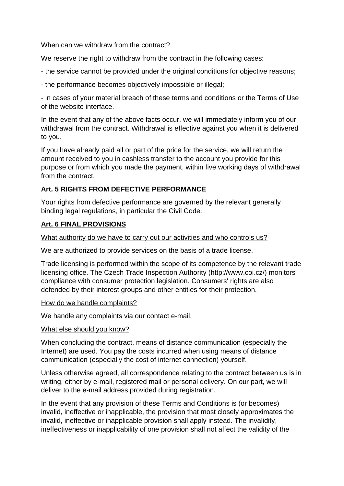### When can we withdraw from the contract?

We reserve the right to withdraw from the contract in the following cases:

- the service cannot be provided under the original conditions for objective reasons;
- the performance becomes objectively impossible or illegal;

- in cases of your material breach of these terms and conditions or the Terms of Use of the website interface.

In the event that any of the above facts occur, we will immediately inform you of our withdrawal from the contract. Withdrawal is effective against you when it is delivered to you.

If you have already paid all or part of the price for the service, we will return the amount received to you in cashless transfer to the account you provide for this purpose or from which you made the payment, within five working days of withdrawal from the contract.

# **Art. 5 RIGHTS FROM DEFECTIVE PERFORMANCE**

Your rights from defective performance are governed by the relevant generally binding legal regulations, in particular the Civil Code.

# **Art. 6 FINAL PROVISIONS**

What authority do we have to carry out our activities and who controls us?

We are authorized to provide services on the basis of a trade license.

Trade licensing is performed within the scope of its competence by the relevant trade licensing office. The Czech Trade Inspection Authority (http://www.coi.cz/) monitors compliance with consumer protection legislation. Consumers' rights are also defended by their interest groups and other entities for their protection.

# How do we handle complaints?

We handle any complaints via our contact e-mail.

# What else should you know?

When concluding the contract, means of distance communication (especially the Internet) are used. You pay the costs incurred when using means of distance communication (especially the cost of internet connection) yourself.

Unless otherwise agreed, all correspondence relating to the contract between us is in writing, either by e-mail, registered mail or personal delivery. On our part, we will deliver to the e-mail address provided during registration.

In the event that any provision of these Terms and Conditions is (or becomes) invalid, ineffective or inapplicable, the provision that most closely approximates the invalid, ineffective or inapplicable provision shall apply instead. The invalidity, ineffectiveness or inapplicability of one provision shall not affect the validity of the